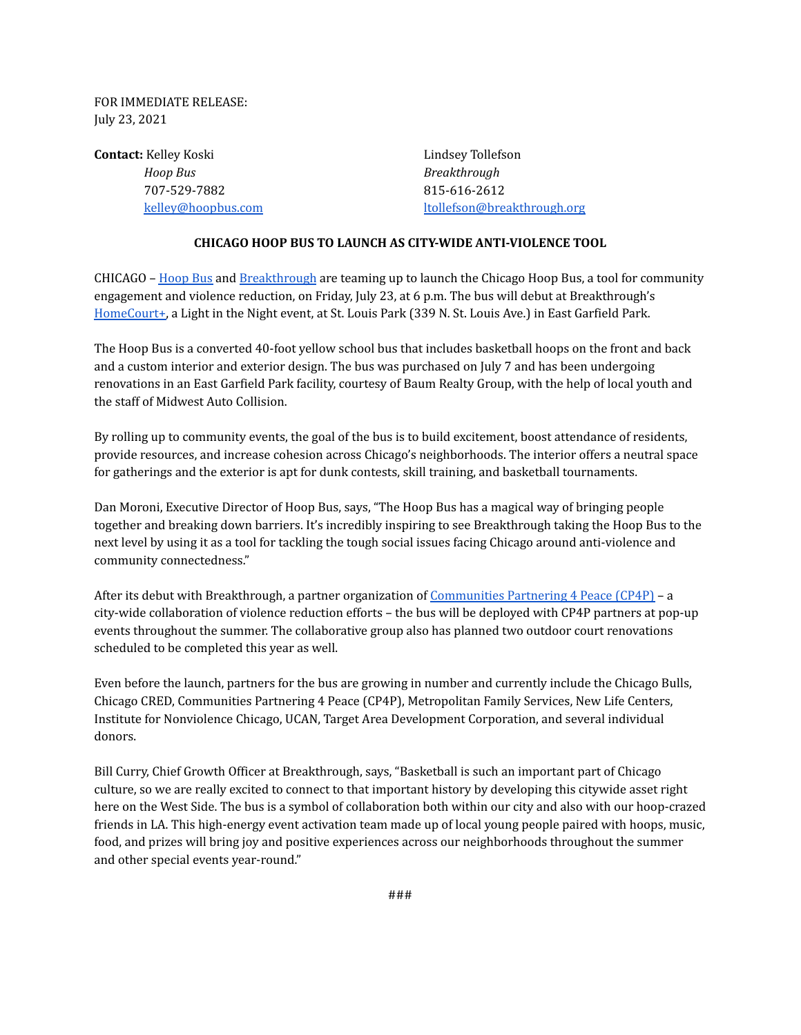FOR IMMEDIATE RELEASE: July 23, 2021

**Contact:** Kelley Koski **Lindsey Tollefson** *Hoop Bus Breakthrough* 707-529-7882 815-616-2612

[kelley@hoopbus.com](mailto:kelly@hoopbus.com) [ltollefson@breakthrough.org](mailto:ltollefson@breakthrough.org)

## **CHICAGO HOOP BUS TO LAUNCH AS CITY-WIDE ANTI-VIOLENCE TOOL**

CHICAGO – [Hoop](http://hoopbus.com) Bus and [Breakthrough](http://breakthrough.org) are teaming up to launch the Chicago Hoop Bus, a tool for community engagement and violence reduction, on Friday, July 23, at 6 p.m. The bus will debut at Breakthrough's [HomeCourt+,](https://breakthrough.org/event/homecourt-july-23-2021/) a Light in the Night event, at St. Louis Park (339 N. St. Louis Ave.) in East Garfield Park.

The Hoop Bus is a converted 40-foot yellow school bus that includes basketball hoops on the front and back and a custom interior and exterior design. The bus was purchased on July 7 and has been undergoing renovations in an East Garfield Park facility, courtesy of Baum Realty Group, with the help of local youth and the staff of Midwest Auto Collision.

By rolling up to community events, the goal of the bus is to build excitement, boost attendance of residents, provide resources, and increase cohesion across Chicago's neighborhoods. The interior offers a neutral space for gatherings and the exterior is apt for dunk contests, skill training, and basketball tournaments.

Dan Moroni, Executive Director of Hoop Bus, says, "The Hoop Bus has a magical way of bringing people together and breaking down barriers. It's incredibly inspiring to see Breakthrough taking the Hoop Bus to the next level by using it as a tool for tackling the tough social issues facing Chicago around anti-violence and community connectedness."

After its debut with Breakthrough, a partner organization of [Communities](https://www.metrofamily.org/cp4p/) Partnering 4 Peace (CP4P) - a city-wide collaboration of violence reduction efforts – the bus will be deployed with CP4P partners at pop-up events throughout the summer. The collaborative group also has planned two outdoor court renovations scheduled to be completed this year as well.

Even before the launch, partners for the bus are growing in number and currently include the Chicago Bulls, Chicago CRED, Communities Partnering 4 Peace (CP4P), Metropolitan Family Services, New Life Centers, Institute for Nonviolence Chicago, UCAN, Target Area Development Corporation, and several individual donors.

Bill Curry, Chief Growth Officer at Breakthrough, says, "Basketball is such an important part of Chicago culture, so we are really excited to connect to that important history by developing this citywide asset right here on the West Side. The bus is a symbol of collaboration both within our city and also with our hoop-crazed friends in LA. This high-energy event activation team made up of local young people paired with hoops, music, food, and prizes will bring joy and positive experiences across our neighborhoods throughout the summer and other special events year-round."